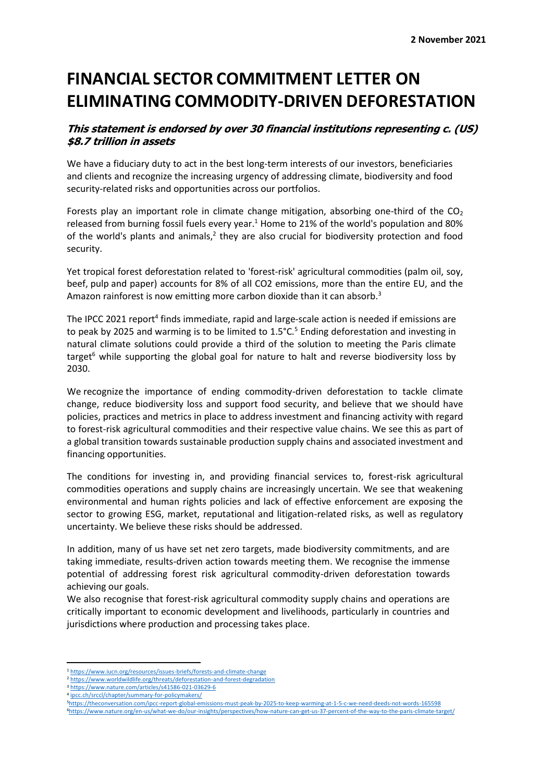## **FINANCIAL SECTOR COMMITMENT LETTER ON ELIMINATING COMMODITY-DRIVEN DEFORESTATION**

### **This statement is endorsed by over 30 financial institutions representing c. (US) \$8.7 trillion in assets**

We have a fiduciary duty to act in the best long-term interests of our investors, beneficiaries and clients and recognize the increasing urgency of addressing climate, biodiversity and food security-related risks and opportunities across our portfolios.

Forests play an important role in climate change mitigation, absorbing one-third of the  $CO<sub>2</sub>$ released from burning fossil fuels every year.<sup>1</sup> Home to 21% of the world's population and 80% of the world's plants and animals, $<sup>2</sup>$  they are also crucial for biodiversity protection and food</sup> security.

Yet tropical forest deforestation related to 'forest-risk' agricultural commodities (palm oil, soy, beef, pulp and paper) accounts for 8% of all CO2 emissions, more than the entire EU, and the Amazon rainforest is now emitting more carbon dioxide than it can absorb.<sup>3</sup>

The IPCC 2021 report<sup>4</sup> finds immediate, rapid and large-scale action is needed if emissions are to peak by 2025 and warming is to be limited to  $1.5^{\circ}$ C.<sup>5</sup> Ending deforestation and investing in natural climate solutions could provide a third of the solution to meeting the Paris climate target<sup>6</sup> while supporting the global goal for nature to halt and reverse biodiversity loss by 2030.

We recognize the importance of ending commodity-driven deforestation to tackle climate change, reduce biodiversity loss and support food security, and believe that we should have policies, practices and metrics in place to address investment and financing activity with regard to forest-risk agricultural commodities and their respective value chains. We see this as part of a global transition towards sustainable production supply chains and associated investment and financing opportunities.

The conditions for investing in, and providing financial services to, forest-risk agricultural commodities operations and supply chains are increasingly uncertain. We see that weakening environmental and human rights policies and lack of effective enforcement are exposing the sector to growing ESG, market, reputational and litigation-related risks, as well as regulatory uncertainty. We believe these risks should be addressed.

In addition, many of us have set net zero targets, made biodiversity commitments, and are taking immediate, results-driven action towards meeting them. We recognise the immense potential of addressing forest risk agricultural commodity-driven deforestation towards achieving our goals.

We also recognise that forest-risk agricultural commodity supply chains and operations are critically important to economic development and livelihoods, particularly in countries and jurisdictions where production and processing takes place.

<sup>1</sup> <https://www.iucn.org/resources/issues-briefs/forests-and-climate-change>

<sup>2</sup> <https://www.worldwildlife.org/threats/deforestation-and-forest-degradation> <sup>3</sup> <https://www.nature.com/articles/s41586-021-03629-6>

<sup>4</sup> [ipcc.ch/srccl/chapter/summary-for-policymakers/](file:///C:/Users/mzeymo/Documents/Deforestation-Free%20Finance/ipcc.ch/srccl/chapter/summary-for-policymakers/)

<sup>5</sup><https://theconversation.com/ipcc-report-global-emissions-must-peak-by-2025-to-keep-warming-at-1-5-c-we-need-deeds-not-words-165598> 6<https://www.nature.org/en-us/what-we-do/our-insights/perspectives/how-nature-can-get-us-37-percent-of-the-way-to-the-paris-climate-target/>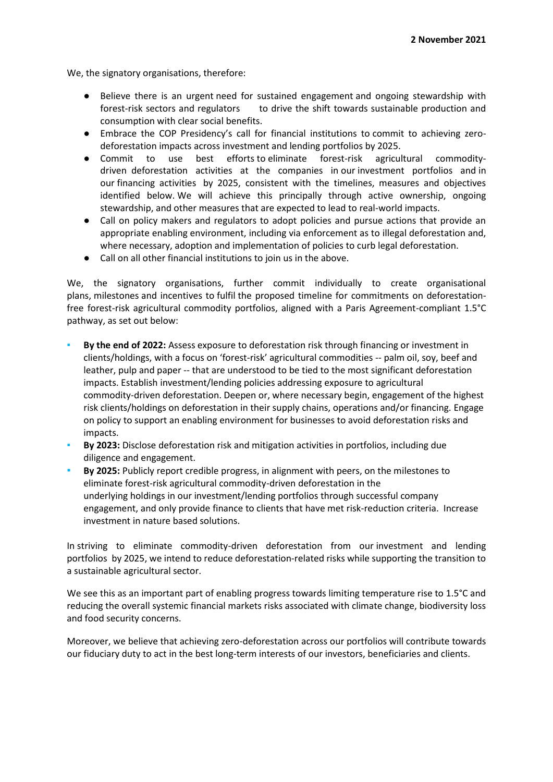We, the signatory organisations, therefore:

- Believe there is an urgent need for sustained engagement and ongoing stewardship with forest-risk sectors and regulators to drive the shift towards sustainable production and consumption with clear social benefits.
- Embrace the COP Presidency's call for financial institutions to commit to achieving zerodeforestation impacts across investment and lending portfolios by 2025.
- Commit to use best efforts to eliminate forest-risk agricultural commoditydriven deforestation activities at the companies in our investment portfolios and in our financing activities by 2025, consistent with the timelines, measures and objectives identified below. We will achieve this principally through active ownership, ongoing stewardship, and other measures that are expected to lead to real-world impacts.
- Call on policy makers and regulators to adopt policies and pursue actions that provide an appropriate enabling environment, including via enforcement as to illegal deforestation and, where necessary, adoption and implementation of policies to curb legal deforestation.
- Call on all other financial institutions to join us in the above.

We, the signatory organisations, further commit individually to create organisational plans, milestones and incentives to fulfil the proposed timeline for commitments on deforestationfree forest-risk agricultural commodity portfolios, aligned with a Paris Agreement-compliant 1.5°C pathway, as set out below:

- **By the end of 2022:** Assess exposure to deforestation risk through financing or investment in clients/holdings, with a focus on 'forest-risk' agricultural commodities -- palm oil, soy, beef and leather, pulp and paper -- that are understood to be tied to the most significant deforestation impacts. Establish investment/lending policies addressing exposure to agricultural commodity-driven deforestation. Deepen or, where necessary begin, engagement of the highest risk clients/holdings on deforestation in their supply chains, operations and/or financing. Engage on policy to support an enabling environment for businesses to avoid deforestation risks and impacts.
- By 2023: Disclose deforestation risk and mitigation activities in portfolios, including due diligence and engagement.
- By 2025: Publicly report credible progress, in alignment with peers, on the milestones to eliminate forest-risk agricultural commodity-driven deforestation in the underlying holdings in our investment/lending portfolios through successful company engagement, and only provide finance to clients that have met risk-reduction criteria. Increase investment in nature based solutions.

In striving to eliminate commodity-driven deforestation from our investment and lending portfolios by 2025, we intend to reduce deforestation-related risks while supporting the transition to a sustainable agricultural sector.

We see this as an important part of enabling progress towards limiting temperature rise to 1.5°C and reducing the overall systemic financial markets risks associated with climate change, biodiversity loss and food security concerns.

Moreover, we believe that achieving zero-deforestation across our portfolios will contribute towards our fiduciary duty to act in the best long-term interests of our investors, beneficiaries and clients.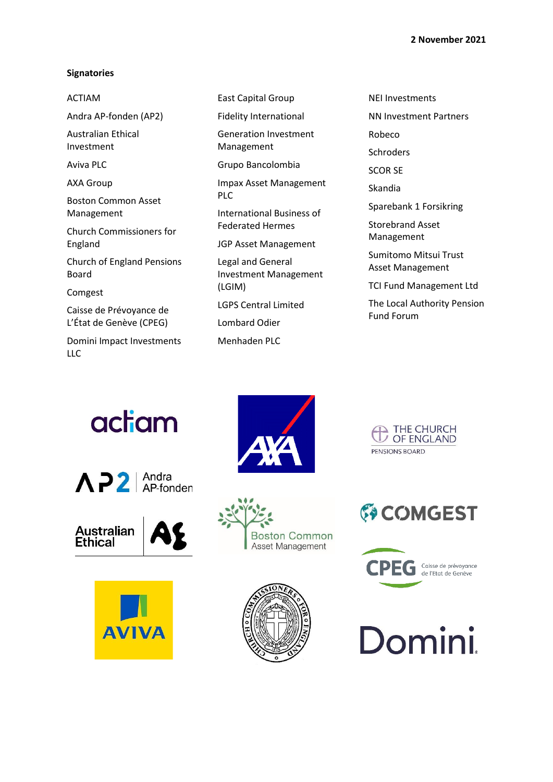#### **Signatories**

#### ACTIAM

Andra AP-fonden (AP2)

Australian Ethical Investment

Aviva PLC

AXA Group

Boston Common Asset Management

Church Commissioners for England

Church of England Pensions Board

Comgest

Caisse de Prévoyance de L'État de Genève (CPEG)

Domini Impact Investments LLC

East Capital Group

Fidelity International

Generation Investment Management

Grupo Bancolombia

Impax Asset Management PLC

International Business of Federated Hermes

JGP Asset Management

Legal and General Investment Management (LGIM)

LGPS Central Limited

Lombard Odier

Menhaden PLC

NEI Investments

NN Investment Partners

Robeco

Schroders

SCOR SE

Skandia

Sparebank 1 Forsikring

Storebrand Asset Management

Sumitomo Mitsui Trust Asset Management

TCI Fund Management Ltd

The Local Authority Pension Fund Forum

# actiam













THE CHURCH<br>U OF ENGLAND PENSIONS BOARD





**Domini.**